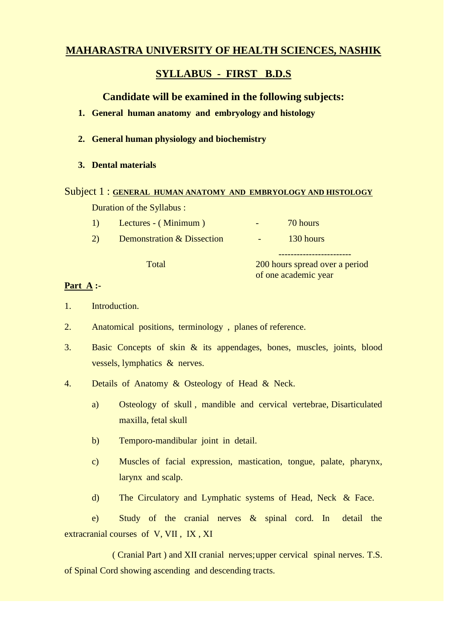# **MAHARASTRA UNIVERSITY OF HEALTH SCIENCES, NASHIK**

# **SYLLABUS - FIRST B.D.S**

# **Candidate will be examined in the following subjects:**

- **1. General human anatomy and embryology and histology**
- **2. General human physiology and biochemistry**
- **3. Dental materials**
- Subject 1 : **GENERAL HUMAN ANATOMY AND EMBRYOLOGY AND HISTOLOGY** Duration of the Syllabus :
	- 1) Lectures (Minimum) 70 hours
	- 2) Demonstration & Dissection 130 hours

Total 200 hours spread over a period of one academic year

------------------------

## **Part A :-**

- 1. Introduction.
- 2. Anatomical positions, terminology , planes of reference.
- 3. Basic Concepts of skin & its appendages, bones, muscles, joints, blood vessels, lymphatics & nerves.
- 4. Details of Anatomy & Osteology of Head & Neck.
	- a) Osteology of skull , mandible and cervical vertebrae, Disarticulated maxilla, fetal skull
	- b) Temporo-mandibular joint in detail.
	- c) Muscles of facial expression, mastication, tongue, palate, pharynx, larynx and scalp.
	- d) The Circulatory and Lymphatic systems of Head, Neck & Face.

e) Study of the cranial nerves & spinal cord. In detail the extracranial courses of V, VII , IX , XI

 ( Cranial Part ) and XII cranial nerves;upper cervical spinal nerves. T.S. of Spinal Cord showing ascending and descending tracts.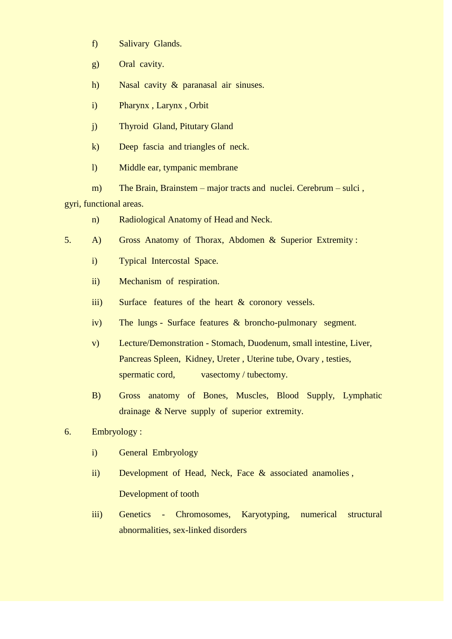- f) Salivary Glands.
- g) Oral cavity.
- h) Nasal cavity & paranasal air sinuses.
- i) Pharynx , Larynx , Orbit
- j) Thyroid Gland, Pitutary Gland
- k) Deep fascia and triangles of neck.
- l) Middle ear, tympanic membrane
- m) The Brain, Brainstem major tracts and nuclei. Cerebrum sulci, gyri, functional areas.
	- n) Radiological Anatomy of Head and Neck.
- 5. A) Gross Anatomy of Thorax, Abdomen & Superior Extremity :
	- i) Typical Intercostal Space.
	- ii) Mechanism of respiration.
	- iii) Surface features of the heart & coronory vessels.
	- iv) The lungs Surface features & broncho-pulmonary segment.
	- v) Lecture/Demonstration Stomach, Duodenum, small intestine, Liver, Pancreas Spleen, Kidney, Ureter , Uterine tube, Ovary , testies, spermatic cord, vasectomy / tubectomy.
	- B) Gross anatomy of Bones, Muscles, Blood Supply, Lymphatic drainage & Nerve supply of superior extremity.
- 6. Embryology :
	- i) General Embryology
	- ii) Development of Head, Neck, Face & associated anamolies , Development of tooth
	- iii) Genetics Chromosomes, Karyotyping, numerical structural abnormalities, sex-linked disorders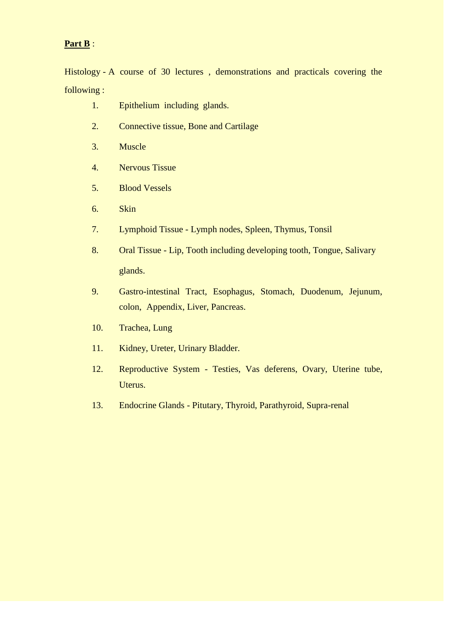# **Part B** :

Histology - A course of 30 lectures , demonstrations and practicals covering the following :

- 1. Epithelium including glands.
- 2. Connective tissue, Bone and Cartilage
- 3. Muscle
- 4. Nervous Tissue
- 5. Blood Vessels
- 6. Skin
- 7. Lymphoid Tissue Lymph nodes, Spleen, Thymus, Tonsil
- 8. Oral Tissue Lip, Tooth including developing tooth, Tongue, Salivary glands.
- 9. Gastro-intestinal Tract, Esophagus, Stomach, Duodenum, Jejunum, colon, Appendix, Liver, Pancreas.
- 10. Trachea, Lung
- 11. Kidney, Ureter, Urinary Bladder.
- 12. Reproductive System Testies, Vas deferens, Ovary, Uterine tube, Uterus.
- 13. Endocrine Glands Pitutary, Thyroid, Parathyroid, Supra-renal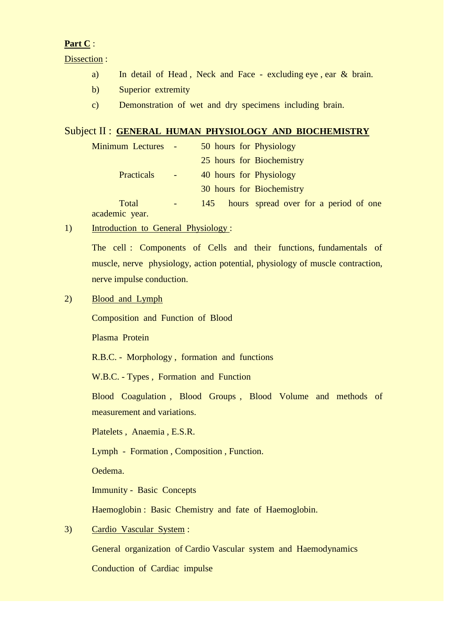# **Part C** :

Dissection :

- a) In detail of Head, Neck and Face excluding eye, ear & brain.
- b) Superior extremity
- c) Demonstration of wet and dry specimens including brain.

## Subject II : **GENERAL HUMAN PHYSIOLOGY AND BIOCHEMISTRY**

| <b>Minimum Lectures</b> | $\sim$ $-$                      | 50 hours for Physiology                      |
|-------------------------|---------------------------------|----------------------------------------------|
|                         |                                 | 25 hours for Biochemistry                    |
| <b>Practicals</b>       | $\blacksquare$                  | 40 hours for Physiology                      |
|                         |                                 | 30 hours for Biochemistry                    |
| Total<br>academic year. | $\frac{1}{2}$ and $\frac{1}{2}$ | hours spread over for a period of one<br>145 |

1) Introduction to General Physiology :

The cell : Components of Cells and their functions, fundamentals of muscle, nerve physiology, action potential, physiology of muscle contraction, nerve impulse conduction.

2) Blood and Lymph

Composition and Function of Blood

Plasma Protein

R.B.C. - Morphology , formation and functions

W.B.C. - Types , Formation and Function

Blood Coagulation , Blood Groups , Blood Volume and methods of measurement and variations.

Platelets , Anaemia , E.S.R.

Lymph - Formation , Composition , Function.

Oedema.

Immunity - Basic Concepts

Haemoglobin : Basic Chemistry and fate of Haemoglobin.

3) Cardio Vascular System :

General organization of Cardio Vascular system and Haemodynamics Conduction of Cardiac impulse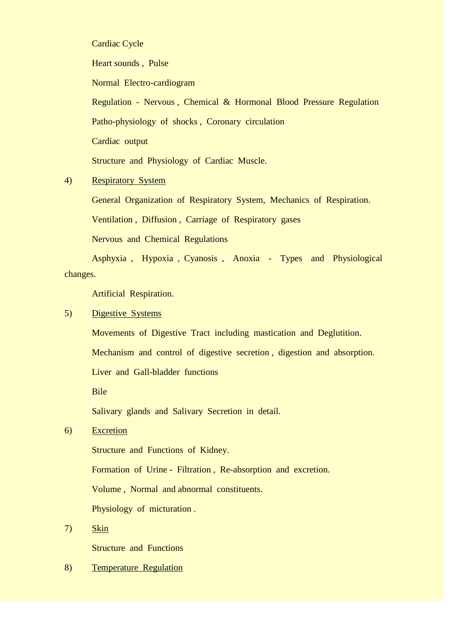Cardiac Cycle

Heart sounds , Pulse

Normal Electro-cardiogram

Regulation - Nervous , Chemical & Hormonal Blood Pressure Regulation Patho-physiology of shocks , Coronary circulation Cardiac output

Structure and Physiology of Cardiac Muscle.

# 4) Respiratory System

General Organization of Respiratory System, Mechanics of Respiration.

Ventilation , Diffusion , Carriage of Respiratory gases

Nervous and Chemical Regulations

Asphyxia , Hypoxia , Cyanosis , Anoxia - Types and Physiological changes.

Artificial Respiration.

### 5) Digestive Systems

Movements of Digestive Tract including mastication and Deglutition.

Mechanism and control of digestive secretion , digestion and absorption.

Liver and Gall-bladder functions

Bile

Salivary glands and Salivary Secretion in detail.

# 6) Excretion

Structure and Functions of Kidney.

Formation of Urine - Filtration , Re-absorption and excretion.

Volume , Normal and abnormal constituents.

Physiology of micturation .

# 7) Skin

Structure and Functions

## 8) Temperature Regulation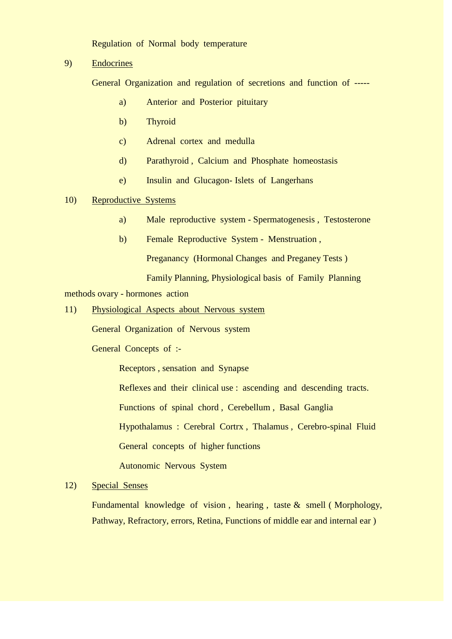Regulation of Normal body temperature

9) Endocrines

General Organization and regulation of secretions and function of -----

- a) Anterior and Posterior pituitary
- b) Thyroid
- c) Adrenal cortex and medulla
- d) Parathyroid , Calcium and Phosphate homeostasis
- e) Insulin and Glucagon- Islets of Langerhans

### 10) Reproductive Systems

- a) Male reproductive system Spermatogenesis , Testosterone
- b) Female Reproductive System Menstruation ,

Preganancy (Hormonal Changes and Preganey Tests )

Family Planning, Physiological basis of Family Planning

methods ovary - hormones action

11) Physiological Aspects about Nervous system

General Organization of Nervous system

General Concepts of :-

Receptors , sensation and Synapse

Reflexes and their clinical use : ascending and descending tracts.

Functions of spinal chord , Cerebellum , Basal Ganglia

Hypothalamus : Cerebral Cortrx , Thalamus , Cerebro-spinal Fluid

General concepts of higher functions

Autonomic Nervous System

### 12) Special Senses

Fundamental knowledge of vision , hearing , taste & smell ( Morphology, Pathway, Refractory, errors, Retina, Functions of middle ear and internal ear )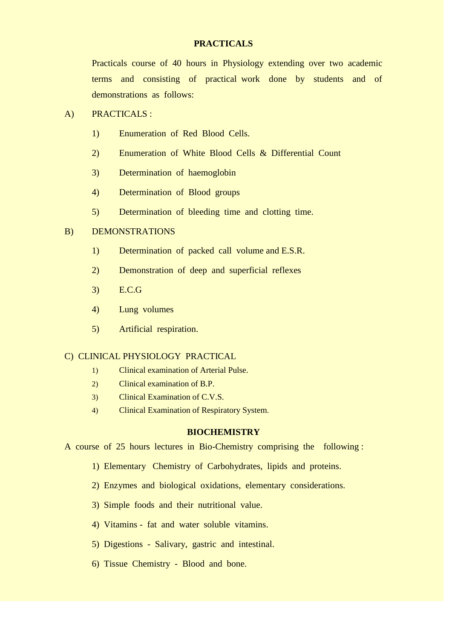### **PRACTICALS**

Practicals course of 40 hours in Physiology extending over two academic terms and consisting of practical work done by students and of demonstrations as follows:

### A) PRACTICALS :

- 1) Enumeration of Red Blood Cells.
- 2) Enumeration of White Blood Cells & Differential Count
- 3) Determination of haemoglobin
- 4) Determination of Blood groups
- 5) Determination of bleeding time and clotting time.

# B) DEMONSTRATIONS

- 1) Determination of packed call volume and E.S.R.
- 2) Demonstration of deep and superficial reflexes
- 3) E.C.G
- 4) Lung volumes
- 5) Artificial respiration.

### C) CLINICAL PHYSIOLOGY PRACTICAL

- 1) Clinical examination of Arterial Pulse.
- 2) Clinical examination of B.P.
- 3) Clinical Examination of C.V.S.
- 4) Clinical Examination of Respiratory System.

### **BIOCHEMISTRY**

A course of 25 hours lectures in Bio-Chemistry comprising the following :

- 1) Elementary Chemistry of Carbohydrates, lipids and proteins.
- 2) Enzymes and biological oxidations, elementary considerations.
- 3) Simple foods and their nutritional value.
- 4) Vitamins fat and water soluble vitamins.
- 5) Digestions Salivary, gastric and intestinal.
- 6) Tissue Chemistry Blood and bone.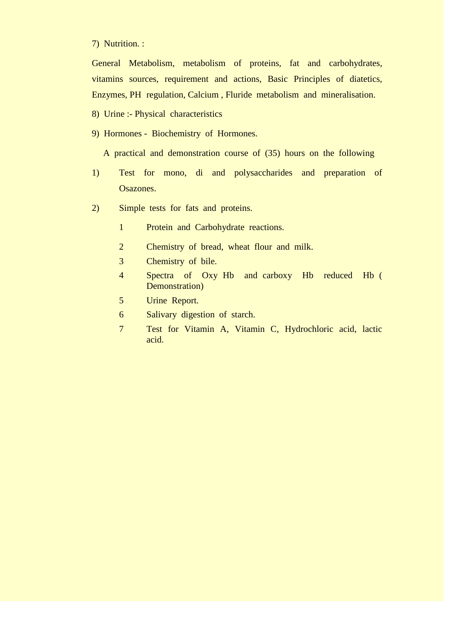7) Nutrition. :

General Metabolism, metabolism of proteins, fat and carbohydrates, vitamins sources, requirement and actions, Basic Principles of diatetics, Enzymes, PH regulation, Calcium , Fluride metabolism and mineralisation.

- 8) Urine :- Physical characteristics
- 9) Hormones Biochemistry of Hormones.

A practical and demonstration course of (35) hours on the following

- 1) Test for mono, di and polysaccharides and preparation of Osazones.
- 2) Simple tests for fats and proteins.
	- 1 Protein and Carbohydrate reactions.
	- 2 Chemistry of bread, wheat flour and milk.
	- 3 Chemistry of bile.
	- 4 Spectra of Oxy Hb and carboxy Hb reduced Hb ( Demonstration)
	- 5 Urine Report.
	- 6 Salivary digestion of starch.
	- 7 Test for Vitamin A, Vitamin C, Hydrochloric acid, lactic acid.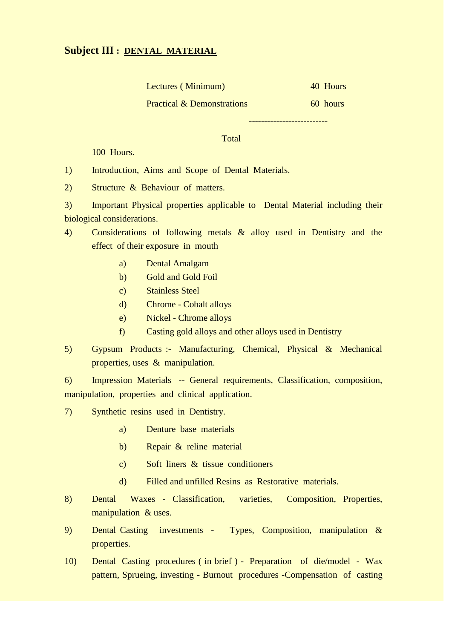# **Subject III : DENTAL MATERIAL**

|  | Lectures (Minimum) |  | 40 Hours |
|--|--------------------|--|----------|
|--|--------------------|--|----------|

Practical & Demonstrations 60 hours

--------------------------

Total

100 Hours.

1) Introduction, Aims and Scope of Dental Materials.

2) Structure & Behaviour of matters.

3) Important Physical properties applicable to Dental Material including their biological considerations.

- 4) Considerations of following metals & alloy used in Dentistry and the effect of their exposure in mouth
	- a) Dental Amalgam
	- b) Gold and Gold Foil
	- c) Stainless Steel
	- d) Chrome Cobalt alloys
	- e) Nickel Chrome alloys
	- f) Casting gold alloys and other alloys used in Dentistry
- 5) Gypsum Products :- Manufacturing, Chemical, Physical & Mechanical properties, uses & manipulation.

6) Impression Materials -- General requirements, Classification, composition, manipulation, properties and clinical application.

- 7) Synthetic resins used in Dentistry.
	- a) Denture base materials
	- b) Repair & reline material
	- c) Soft liners & tissue conditioners
	- d) Filled and unfilled Resins as Restorative materials.
- 8) Dental Waxes Classification, varieties, Composition, Properties, manipulation & uses.
- 9) Dental Casting investments Types, Composition, manipulation & properties.
- 10) Dental Casting procedures ( in brief ) Preparation of die/model Wax pattern, Sprueing, investing - Burnout procedures -Compensation of casting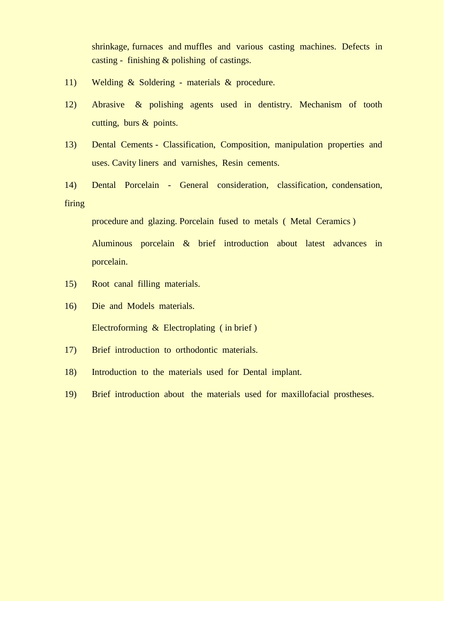shrinkage, furnaces and muffles and various casting machines. Defects in casting - finishing & polishing of castings.

- 11) Welding & Soldering materials & procedure.
- 12) Abrasive & polishing agents used in dentistry. Mechanism of tooth cutting, burs & points.
- 13) Dental Cements Classification, Composition, manipulation properties and uses. Cavity liners and varnishes, Resin cements.
- 14) Dental Porcelain General consideration, classification, condensation, firing

procedure and glazing. Porcelain fused to metals ( Metal Ceramics ) Aluminous porcelain & brief introduction about latest advances in porcelain.

- 15) Root canal filling materials.
- 16) Die and Models materials. Electroforming & Electroplating ( in brief )
- 17) Brief introduction to orthodontic materials.
- 18) Introduction to the materials used for Dental implant.
- 19) Brief introduction about the materials used for maxillofacial prostheses.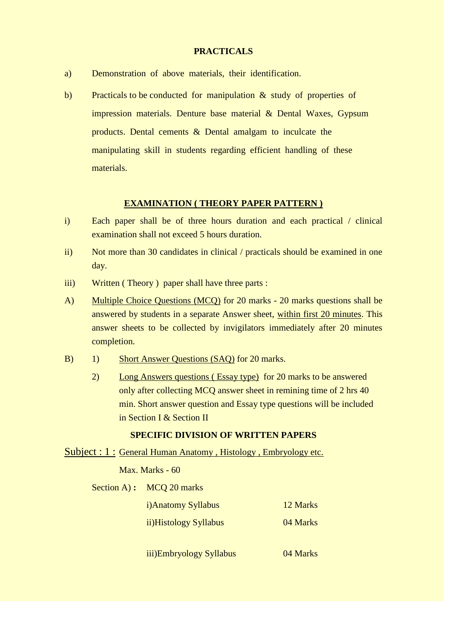### **PRACTICALS**

- a) Demonstration of above materials, their identification.
- b) Practicals to be conducted for manipulation & study of properties of impression materials. Denture base material & Dental Waxes, Gypsum products. Dental cements & Dental amalgam to inculcate the manipulating skill in students regarding efficient handling of these materials.

### **EXAMINATION ( THEORY PAPER PATTERN )**

- i) Each paper shall be of three hours duration and each practical / clinical examination shall not exceed 5 hours duration.
- ii) Not more than 30 candidates in clinical / practicals should be examined in one day.
- iii) Written (Theory) paper shall have three parts :
- A) Multiple Choice Questions (MCQ) for 20 marks 20 marks questions shall be answered by students in a separate Answer sheet, within first 20 minutes. This answer sheets to be collected by invigilators immediately after 20 minutes completion.
- B) 1) Short Answer Questions (SAQ) for 20 marks.
	- 2) Long Answers questions ( Essay type) for 20 marks to be answered only after collecting MCQ answer sheet in remining time of 2 hrs 40 min. Short answer question and Essay type questions will be included in Section I & Section II

#### **SPECIFIC DIVISION OF WRITTEN PAPERS**

Subject : 1 : General Human Anatomy, Histology, Embryology etc.

Max. Marks - 60

Section A) **:** MCO 20 marks

| <i>i</i> )Anatomy Syllabus | 12 Marks |
|----------------------------|----------|
| ii)Histology Syllabus      | 04 Marks |
|                            |          |

iii)Embryology Syllabus 04 Marks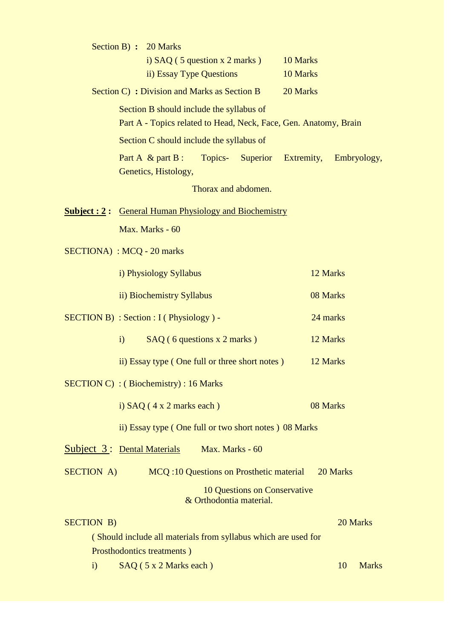|                                    |                                                                                                              | Section B) : 20 Marks                                               |                         |                              |                      |          |              |
|------------------------------------|--------------------------------------------------------------------------------------------------------------|---------------------------------------------------------------------|-------------------------|------------------------------|----------------------|----------|--------------|
|                                    |                                                                                                              | i) $SAQ$ (5 question x 2 marks)<br>ii) Essay Type Questions         |                         |                              | 10 Marks<br>10 Marks |          |              |
|                                    |                                                                                                              | Section C) : Division and Marks as Section B                        |                         |                              | 20 Marks             |          |              |
|                                    |                                                                                                              | Section B should include the syllabus of                            |                         |                              |                      |          |              |
|                                    | Part A - Topics related to Head, Neck, Face, Gen. Anatomy, Brain<br>Section C should include the syllabus of |                                                                     |                         |                              |                      |          |              |
|                                    |                                                                                                              | Part A $\&$ part B :<br>Genetics, Histology,                        | Topics-                 | <b>Superior</b>              | Extremity,           |          | Embryology,  |
|                                    |                                                                                                              |                                                                     | Thorax and abdomen.     |                              |                      |          |              |
|                                    |                                                                                                              | <b><u>Subject: 2: General Human Physiology and Biochemistry</u></b> |                         |                              |                      |          |              |
|                                    |                                                                                                              | Max. Marks - 60                                                     |                         |                              |                      |          |              |
| <b>SECTIONA</b> ) : MCQ - 20 marks |                                                                                                              |                                                                     |                         |                              |                      |          |              |
|                                    |                                                                                                              | i) Physiology Syllabus                                              |                         |                              |                      | 12 Marks |              |
|                                    |                                                                                                              | ii) Biochemistry Syllabus                                           |                         |                              |                      | 08 Marks |              |
|                                    |                                                                                                              | $SECTION B) : Section : I (Physiology) -$                           |                         |                              |                      | 24 marks |              |
|                                    | $\mathbf{i}$                                                                                                 | $SAQ$ (6 questions x 2 marks)                                       |                         |                              |                      | 12 Marks |              |
|                                    |                                                                                                              | ii) Essay type (One full or three short notes)                      |                         |                              |                      | 12 Marks |              |
|                                    |                                                                                                              | $SECTION C)$ : (Biochemistry): 16 Marks                             |                         |                              |                      |          |              |
|                                    |                                                                                                              | i) $SAQ$ (4 x 2 marks each)                                         |                         |                              |                      | 08 Marks |              |
|                                    |                                                                                                              | ii) Essay type (One full or two short notes) 08 Marks               |                         |                              |                      |          |              |
| <b>Subject 3: Dental Materials</b> |                                                                                                              |                                                                     | Max. Marks - 60         |                              |                      |          |              |
| <b>SECTION A)</b>                  |                                                                                                              | <b>MCQ</b> :10 Questions on Prosthetic material                     |                         |                              |                      | 20 Marks |              |
|                                    |                                                                                                              |                                                                     | & Orthodontia material. | 10 Questions on Conservative |                      |          |              |
| <b>SECTION B)</b>                  |                                                                                                              |                                                                     |                         |                              |                      |          | 20 Marks     |
|                                    |                                                                                                              | (Should include all materials from syllabus which are used for      |                         |                              |                      |          |              |
|                                    |                                                                                                              | Prosthodontics treatments)                                          |                         |                              |                      |          |              |
| $\mathbf{i}$                       |                                                                                                              | SAQ (5 x 2 Marks each)                                              |                         |                              |                      | 10       | <b>Marks</b> |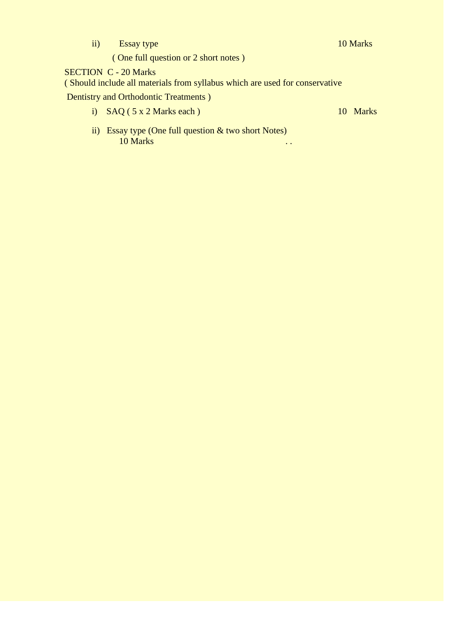ii) Essay type 10 Marks

( One full question or 2 short notes )

SECTION C - 20 Marks

( Should include all materials from syllabus which are used for conservative

Dentistry and Orthodontic Treatments )

i)  $SAQ ( 5 x 2 Marks each )$  10 Marks

ii) Essay type (One full question & two short Notes) 10 Marks . .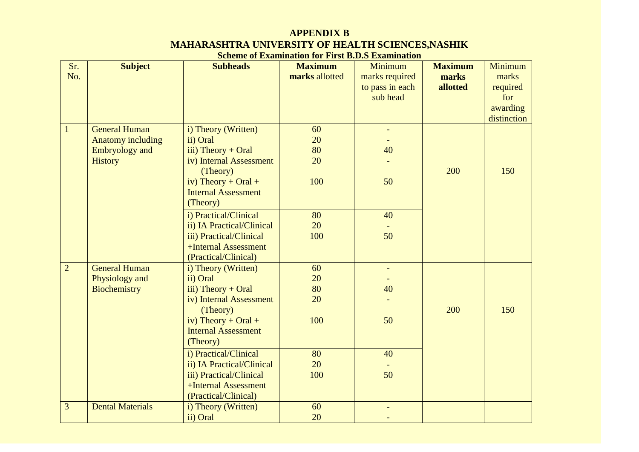# **APPENDIX B MAHARASHTRA UNIVERSITY OF HEALTH SCIENCES,NASHIK**

# **Scheme of Examination for First B.D.S Examination**

| Sr.            | <b>Subject</b>           | <b>Subheads</b>            | <b>Maximum</b> | Minimum                  | <b>Maximum</b> | Minimum     |
|----------------|--------------------------|----------------------------|----------------|--------------------------|----------------|-------------|
| No.            |                          |                            | marks allotted | marks required           | marks          | marks       |
|                |                          |                            |                | to pass in each          | allotted       | required    |
|                |                          |                            |                | sub head                 |                | for         |
|                |                          |                            |                |                          |                | awarding    |
|                |                          |                            |                |                          |                | distinction |
| $\mathbf{1}$   | <b>General Human</b>     | i) Theory (Written)        | 60             | $\overline{\phantom{a}}$ |                |             |
|                | <b>Anatomy including</b> | ii) Oral                   | 20             |                          |                |             |
|                | <b>Embryology</b> and    | $iii)$ Theory + Oral       | 80             | 40                       |                |             |
|                | <b>History</b>           | iv) Internal Assessment    | 20             |                          |                |             |
|                |                          | (Theory)                   |                |                          | 200            | 150         |
|                |                          | iv) Theory + Oral +        | 100            | 50                       |                |             |
|                |                          | <b>Internal Assessment</b> |                |                          |                |             |
|                |                          | (Theory)                   |                |                          |                |             |
|                |                          | i) Practical/Clinical      | 80             | 40                       |                |             |
|                |                          | ii) IA Practical/Clinical  | 20             |                          |                |             |
|                |                          | iii) Practical/Clinical    | 100            | 50                       |                |             |
|                |                          | +Internal Assessment       |                |                          |                |             |
|                |                          | (Practical/Clinical)       |                |                          |                |             |
| $\overline{2}$ | <b>General Human</b>     | i) Theory (Written)        | 60             |                          |                |             |
|                | Physiology and           | ii) Oral                   | 20             |                          |                |             |
|                | <b>Biochemistry</b>      | iii) Theory $+$ Oral       | 80             | 40                       |                |             |
|                |                          | iv) Internal Assessment    | 20             |                          |                |             |
|                |                          | (Theory)                   |                |                          | 200            | 150         |
|                |                          | iv) Theory + Oral +        | 100            | 50                       |                |             |
|                |                          | <b>Internal Assessment</b> |                |                          |                |             |
|                |                          | (Theory)                   |                |                          |                |             |
|                |                          | i) Practical/Clinical      | 80             | 40                       |                |             |
|                |                          | ii) IA Practical/Clinical  | 20             |                          |                |             |
|                |                          | iii) Practical/Clinical    | 100            | 50                       |                |             |
|                |                          | +Internal Assessment       |                |                          |                |             |
|                |                          | (Practical/Clinical)       |                |                          |                |             |
| 3              | <b>Dental Materials</b>  | i) Theory (Written)        | 60             |                          |                |             |
|                |                          | ii) Oral                   | 20             |                          |                |             |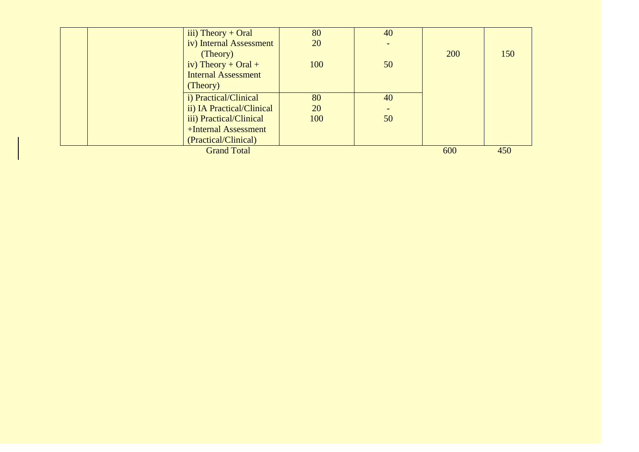| iii) Theory + Oral            | 80  | 40  |     |     |
|-------------------------------|-----|-----|-----|-----|
| iv) Internal Assessment       | 20  |     |     |     |
| (Theory)                      |     |     | 200 | 150 |
| iv) Theory + Oral +           | 100 | 50  |     |     |
| <b>Internal Assessment</b>    |     |     |     |     |
| (Theory)                      |     |     |     |     |
| <i>i</i> ) Practical/Clinical | 80  | 40  |     |     |
| ii) IA Practical/Clinical     | 20  |     |     |     |
| iii) Practical/Clinical       | 100 | 50  |     |     |
| +Internal Assessment          |     |     |     |     |
| (Practical/Clinical)          |     |     |     |     |
| <b>Grand Total</b>            | 600 | 450 |     |     |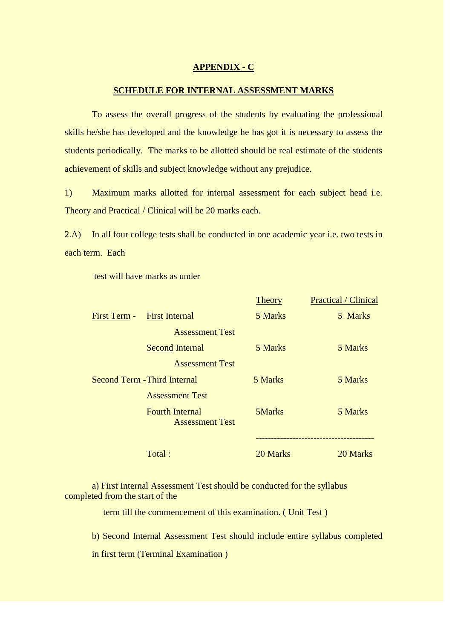### **APPENDIX - C**

### **SCHEDULE FOR INTERNAL ASSESSMENT MARKS**

To assess the overall progress of the students by evaluating the professional skills he/she has developed and the knowledge he has got it is necessary to assess the students periodically. The marks to be allotted should be real estimate of the students achievement of skills and subject knowledge without any prejudice.

1) Maximum marks allotted for internal assessment for each subject head i.e. Theory and Practical / Clinical will be 20 marks each.

2.A) In all four college tests shall be conducted in one academic year i.e. two tests in each term. Each

test will have marks as under

|              |                                                  | <b>Theory</b> | <b>Practical / Clinical</b> |
|--------------|--------------------------------------------------|---------------|-----------------------------|
| First Term - | <b>First Internal</b>                            | 5 Marks       | 5 Marks                     |
|              | <b>Assessment Test</b>                           |               |                             |
|              | <b>Second Internal</b>                           | 5 Marks       | 5 Marks                     |
|              | <b>Assessment Test</b>                           |               |                             |
|              | <b>Second Term - Third Internal</b>              | 5 Marks       | 5 Marks                     |
|              | <b>Assessment Test</b>                           |               |                             |
|              | <b>Fourth Internal</b><br><b>Assessment Test</b> | 5Marks        | 5 Marks                     |
|              |                                                  |               |                             |
|              | Total:                                           | 20 Marks      | 20 Marks                    |

## a) First Internal Assessment Test should be conducted for the syllabus completed from the start of the

term till the commencement of this examination. ( Unit Test )

b) Second Internal Assessment Test should include entire syllabus completed

in first term (Terminal Examination )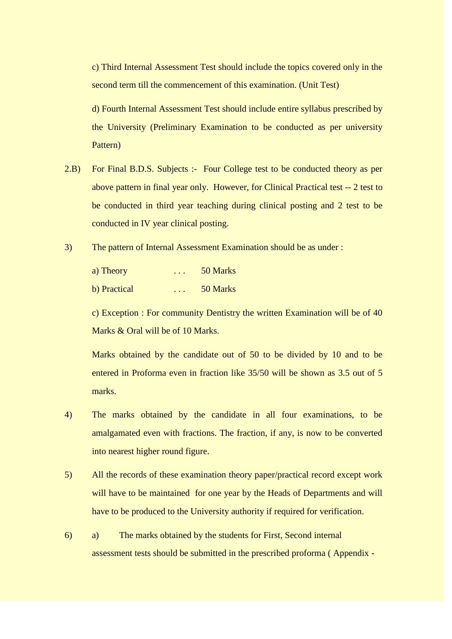c) Third Internal Assessment Test should include the topics covered only in the second term till the commencement of this examination. (Unit Test)

d) Fourth Internal Assessment Test should include entire syllabus prescribed by the University (Preliminary Examination to be conducted as per university Pattern)

- 2.B) For Final B.D.S. Subjects :- Four College test to be conducted theory as per above pattern in final year only. However, for Clinical Practical test -- 2 test to be conducted in third year teaching during clinical posting and 2 test to be conducted in IV year clinical posting.
- 3) The pattern of Internal Assessment Examination should be as under :

| a) Theory    | $\cdot$ $\cdot$ $\cdot$ | 50 Marks |
|--------------|-------------------------|----------|
| b) Practical | $\cdot$ $\cdot$ $\cdot$ | 50 Marks |

c) Exception : For community Dentistry the written Examination will be of 40 Marks & Oral will be of 10 Marks.

Marks obtained by the candidate out of 50 to be divided by 10 and to be entered in Proforma even in fraction like 35/50 will be shown as 3.5 out of 5 marks.

- 4) The marks obtained by the candidate in all four examinations, to be amalgamated even with fractions. The fraction, if any, is now to be converted into nearest higher round figure.
- 5) All the records of these examination theory paper/practical record except work will have to be maintained for one year by the Heads of Departments and will have to be produced to the University authority if required for verification.
- 6) a) The marks obtained by the students for First, Second internal assessment tests should be submitted in the prescribed proforma ( Appendix -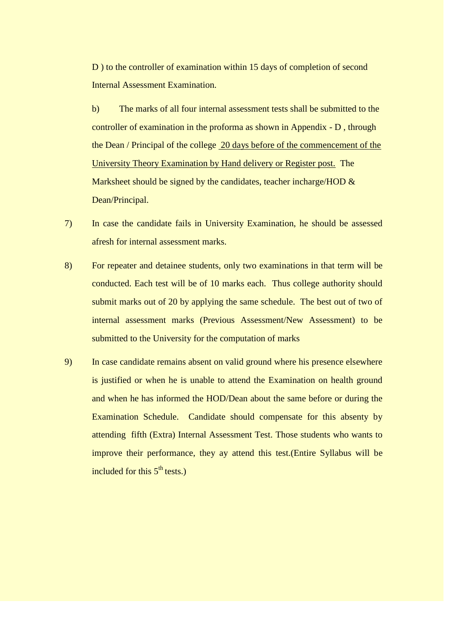D ) to the controller of examination within 15 days of completion of second Internal Assessment Examination.

b) The marks of all four internal assessment tests shall be submitted to the controller of examination in the proforma as shown in Appendix - D , through the Dean / Principal of the college 20 days before of the commencement of the University Theory Examination by Hand delivery or Register post. The Marksheet should be signed by the candidates, teacher incharge/HOD  $\&$ Dean/Principal.

- 7) In case the candidate fails in University Examination, he should be assessed afresh for internal assessment marks.
- 8) For repeater and detainee students, only two examinations in that term will be conducted. Each test will be of 10 marks each. Thus college authority should submit marks out of 20 by applying the same schedule. The best out of two of internal assessment marks (Previous Assessment/New Assessment) to be submitted to the University for the computation of marks
- 9) In case candidate remains absent on valid ground where his presence elsewhere is justified or when he is unable to attend the Examination on health ground and when he has informed the HOD/Dean about the same before or during the Examination Schedule. Candidate should compensate for this absenty by attending fifth (Extra) Internal Assessment Test. Those students who wants to improve their performance, they ay attend this test.(Entire Syllabus will be included for this  $5<sup>th</sup>$  tests.)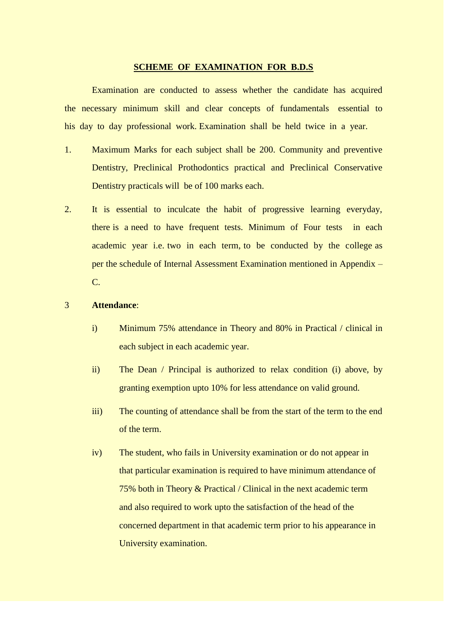#### **SCHEME OF EXAMINATION FOR B.D.S**

Examination are conducted to assess whether the candidate has acquired the necessary minimum skill and clear concepts of fundamentals essential to his day to day professional work. Examination shall be held twice in a year.

- 1. Maximum Marks for each subject shall be 200. Community and preventive Dentistry, Preclinical Prothodontics practical and Preclinical Conservative Dentistry practicals will be of 100 marks each.
- 2. It is essential to inculcate the habit of progressive learning everyday, there is a need to have frequent tests. Minimum of Four tests in each academic year i.e. two in each term, to be conducted by the college as per the schedule of Internal Assessment Examination mentioned in Appendix – C.

## 3 **Attendance**:

- i) Minimum 75% attendance in Theory and 80% in Practical / clinical in each subject in each academic year.
- ii) The Dean / Principal is authorized to relax condition (i) above, by granting exemption upto 10% for less attendance on valid ground.
- iii) The counting of attendance shall be from the start of the term to the end of the term.
- iv) The student, who fails in University examination or do not appear in that particular examination is required to have minimum attendance of 75% both in Theory & Practical / Clinical in the next academic term and also required to work upto the satisfaction of the head of the concerned department in that academic term prior to his appearance in University examination.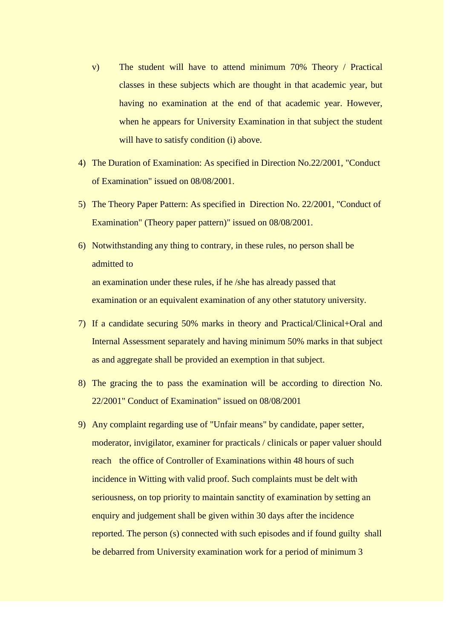- v) The student will have to attend minimum 70% Theory / Practical classes in these subjects which are thought in that academic year, but having no examination at the end of that academic year. However, when he appears for University Examination in that subject the student will have to satisfy condition (i) above.
- 4) The Duration of Examination: As specified in Direction No.22/2001, "Conduct of Examination" issued on 08/08/2001.
- 5) The Theory Paper Pattern: As specified in Direction No. 22/2001, "Conduct of Examination" (Theory paper pattern)" issued on 08/08/2001.
- 6) Notwithstanding any thing to contrary, in these rules, no person shall be admitted to an examination under these rules, if he /she has already passed that examination or an equivalent examination of any other statutory university.
- 7) If a candidate securing 50% marks in theory and Practical/Clinical+Oral and Internal Assessment separately and having minimum 50% marks in that subject as and aggregate shall be provided an exemption in that subject.
- 8) The gracing the to pass the examination will be according to direction No. 22/2001" Conduct of Examination" issued on 08/08/2001
- 9) Any complaint regarding use of "Unfair means" by candidate, paper setter, moderator, invigilator, examiner for practicals / clinicals or paper valuer should reach the office of Controller of Examinations within 48 hours of such incidence in Witting with valid proof. Such complaints must be delt with seriousness, on top priority to maintain sanctity of examination by setting an enquiry and judgement shall be given within 30 days after the incidence reported. The person (s) connected with such episodes and if found guilty shall be debarred from University examination work for a period of minimum 3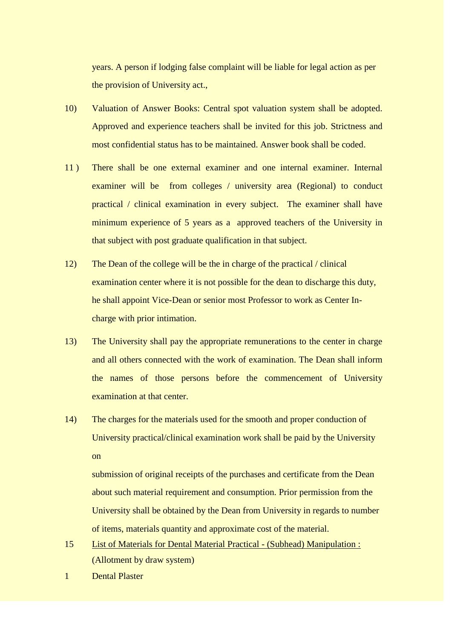years. A person if lodging false complaint will be liable for legal action as per the provision of University act.,

- 10) Valuation of Answer Books: Central spot valuation system shall be adopted. Approved and experience teachers shall be invited for this job. Strictness and most confidential status has to be maintained. Answer book shall be coded.
- 11 ) There shall be one external examiner and one internal examiner. Internal examiner will be from colleges / university area (Regional) to conduct practical / clinical examination in every subject. The examiner shall have minimum experience of 5 years as a approved teachers of the University in that subject with post graduate qualification in that subject.
- 12) The Dean of the college will be the in charge of the practical / clinical examination center where it is not possible for the dean to discharge this duty, he shall appoint Vice-Dean or senior most Professor to work as Center Incharge with prior intimation.
- 13) The University shall pay the appropriate remunerations to the center in charge and all others connected with the work of examination. The Dean shall inform the names of those persons before the commencement of University examination at that center.
- 14) The charges for the materials used for the smooth and proper conduction of University practical/clinical examination work shall be paid by the University on

submission of original receipts of the purchases and certificate from the Dean about such material requirement and consumption. Prior permission from the University shall be obtained by the Dean from University in regards to number of items, materials quantity and approximate cost of the material.

- 15 List of Materials for Dental Material Practical (Subhead) Manipulation : (Allotment by draw system)
- 1 Dental Plaster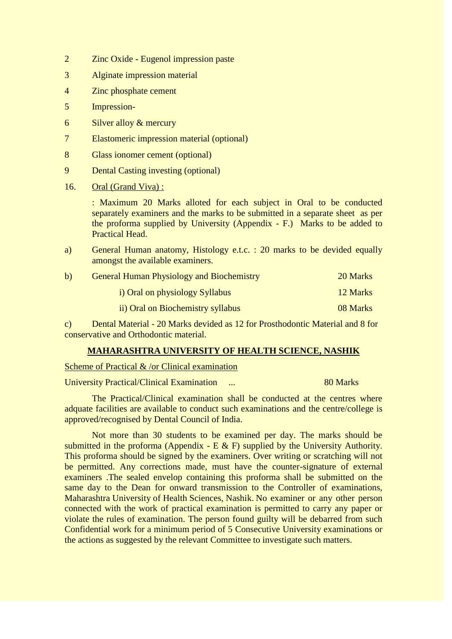- 2 Zinc Oxide Eugenol impression paste
- 3 Alginate impression material
- 4 Zinc phosphate cement
- 5 Impression-
- 6 Silver alloy & mercury
- 7 Elastomeric impression material (optional)
- 8 Glass ionomer cement (optional)
- 9 Dental Casting investing (optional)
- 16. Oral (Grand Viva) :

: Maximum 20 Marks alloted for each subject in Oral to be conducted separately examiners and the marks to be submitted in a separate sheet as per the proforma supplied by University (Appendix - F.) Marks to be added to Practical Head.

a) General Human anatomy, Histology e.t.c. : 20 marks to be devided equally amongst the available examiners.

| b) | <b>General Human Physiology and Biochemistry</b> | 20 Marks |
|----|--------------------------------------------------|----------|
|    | i) Oral on physiology Syllabus                   | 12 Marks |
|    | ii) Oral on Biochemistry syllabus                | 08 Marks |

c) Dental Material - 20 Marks devided as 12 for Prosthodontic Material and 8 for conservative and Orthodontic material.

### **MAHARASHTRA UNIVERSITY OF HEALTH SCIENCE, NASHIK**

#### Scheme of Practical & /or Clinical examination

University Practical/Clinical Examination ... 80 Marks

The Practical/Clinical examination shall be conducted at the centres where adquate facilities are available to conduct such examinations and the centre/college is approved/recognised by Dental Council of India.

Not more than 30 students to be examined per day. The marks should be submitted in the proforma (Appendix - E  $\&$  F) supplied by the University Authority. This proforma should be signed by the examiners. Over writing or scratching will not be permitted. Any corrections made, must have the counter-signature of external examiners .The sealed envelop containing this proforma shall be submitted on the same day to the Dean for onward transmission to the Controller of examinations, Maharashtra University of Health Sciences, Nashik. No examiner or any other person connected with the work of practical examination is permitted to carry any paper or violate the rules of examination. The person found guilty will be debarred from such Confidential work for a minimum period of 5 Consecutive University examinations or the actions as suggested by the relevant Committee to investigate such matters.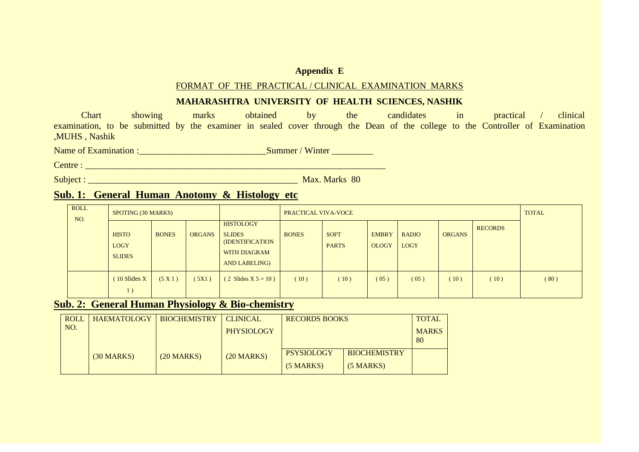### **Appendix E**

### FORMAT OF THE PRACTICAL / CLINICAL EXAMINATION MARKS

## **MAHARASHTRA UNIVERSITY OF HEALTH SCIENCES, NASHIK**

Chart showing marks obtained by the candidates in practical / clinical examination, to be submitted by the examiner in sealed cover through the Dean of the college to the Controller of Examination ,MUHS , Nashik

Name of Examination :\_\_\_\_\_\_\_\_\_\_\_\_\_\_\_\_\_\_\_\_\_\_\_\_\_\_\_\_Summer / Winter \_\_\_\_\_\_\_\_\_

Centre : \_\_\_\_\_\_\_\_\_\_\_\_\_\_\_\_\_\_\_\_\_\_\_\_\_\_\_\_\_\_\_\_\_\_\_\_\_\_\_\_\_\_\_\_\_\_\_\_\_\_\_\_\_\_\_\_\_\_\_\_\_\_\_\_\_\_

Subject : \_\_\_\_\_\_\_\_\_\_\_\_\_\_\_\_\_\_\_\_\_\_\_\_\_\_\_\_\_\_\_\_\_\_\_\_\_\_\_\_\_\_\_\_\_\_ Max. Marks 80

# **Sub. 1: General Human Anotomy & Histology etc**

| <b>ROLL</b><br>NO. | SPOTING (30 MARKS)                           |              | PRACTICAL VIVA-VOCE |                                                                                                            |              |                             |                              | <b>TOTAL</b>                |               |                |      |
|--------------------|----------------------------------------------|--------------|---------------------|------------------------------------------------------------------------------------------------------------|--------------|-----------------------------|------------------------------|-----------------------------|---------------|----------------|------|
|                    | <b>HISTO</b><br><b>LOGY</b><br><b>SLIDES</b> | <b>BONES</b> | <b>ORGANS</b>       | <b>HISTOLOGY</b><br><b>SLIDES</b><br><b>(IDENTIFICATION</b><br><b>WITH DIAGRAM</b><br><b>AND LABELING)</b> | <b>BONES</b> | <b>SOFT</b><br><b>PARTS</b> | <b>EMBRY</b><br><b>OLOGY</b> | <b>RADIO</b><br><b>LOGY</b> | <b>ORGANS</b> | <b>RECORDS</b> |      |
|                    | $(10$ Slides X<br>1)                         | (5 X 1)      | (5X1)               | $(2 \text{ Slides } X 5 = 10)$                                                                             | (10)         | (10)                        | (05)                         | (05)                        | 10)           | (10)           | (80) |

# **Sub. 2: General Human Physiology & Bio-chemistry**

| <b>ROLL</b> | <b>HAEMATOLOGY</b> | <b>BIOCHEMISTRY</b> | <b>CLINICAL</b>   | <b>RECORDS BOOKS</b> |                     | <b>TOTAL</b> |
|-------------|--------------------|---------------------|-------------------|----------------------|---------------------|--------------|
| NO.         |                    |                     | <b>PHYSIOLOGY</b> |                      |                     | <b>MARKS</b> |
|             |                    |                     |                   |                      |                     | 80           |
|             | $(30$ MARKS)       | $(20$ MARKS)        | $(20$ MARKS)      | <b>PSYSIOLOGY</b>    | <b>BIOCHEMISTRY</b> |              |
|             |                    |                     |                   | $(5$ MARKS)          | $(5 \text{ MARKS})$ |              |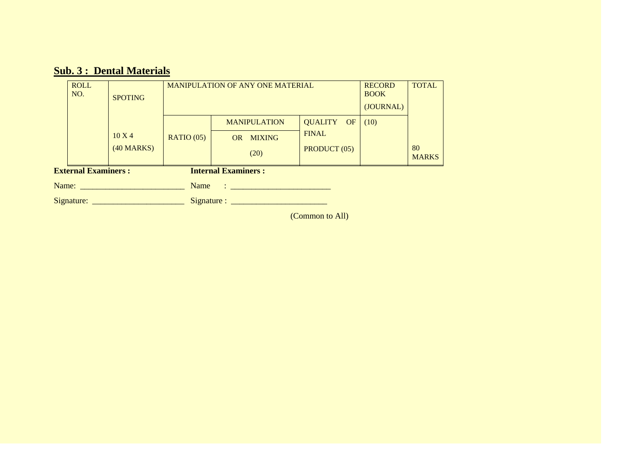# **Sub. 3 : Dental Materials**

|                                                          | <b>ROLL</b><br>NO. | <b>MANIPULATION OF ANY ONE MATERIAL</b><br><b>SPOTING</b> |           |                                                      |              |      |                    |
|----------------------------------------------------------|--------------------|-----------------------------------------------------------|-----------|------------------------------------------------------|--------------|------|--------------------|
|                                                          |                    |                                                           |           | <b>MANIPULATION</b>                                  | QUALITY OF   | (10) |                    |
|                                                          |                    | $10 \text{ X}$ 4                                          | RATIO(05) | <b>MIXING</b><br>OR                                  | <b>FINAL</b> |      |                    |
|                                                          |                    | $(40$ MARKS)                                              |           | (20)                                                 | PRODUCT (05) |      | 80<br><b>MARKS</b> |
| <b>External Examiners:</b><br><b>Internal Examiners:</b> |                    |                                                           |           |                                                      |              |      |                    |
|                                                          |                    |                                                           | Name      | 이 100ml (Section 2010) - Section 2010 - Section 2010 |              |      |                    |
|                                                          | Signature:         |                                                           |           |                                                      |              |      |                    |

(Common to All)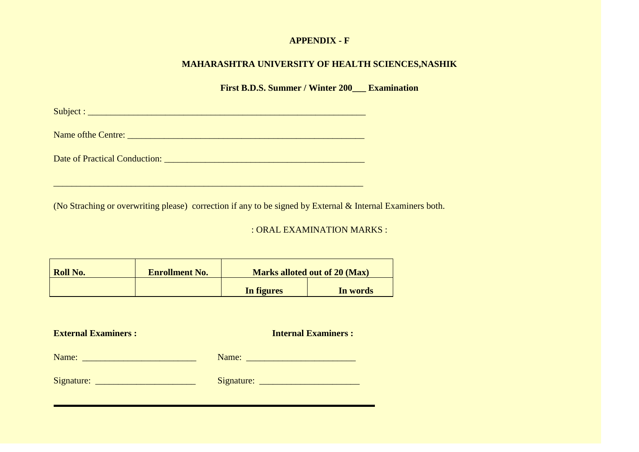# **APPENDIX - F**

# **MAHARASHTRA UNIVERSITY OF HEALTH SCIENCES,NASHIK**

**First B.D.S. Summer / Winter 200\_\_\_ Examination**

Subject : \_\_\_\_\_\_\_\_\_\_\_\_\_\_\_\_\_\_\_\_\_\_\_\_\_\_\_\_\_\_\_\_\_\_\_\_\_\_\_\_\_\_\_\_\_\_\_\_\_\_\_\_\_\_\_\_\_\_\_\_\_

Name ofthe Centre: \_\_\_\_\_\_\_\_\_\_\_\_\_\_\_\_\_\_\_\_\_\_\_\_\_\_\_\_\_\_\_\_\_\_\_\_\_\_\_\_\_\_\_\_\_\_\_\_\_\_\_\_

Date of Practical Conduction: \_\_\_\_\_\_\_\_\_\_\_\_\_\_\_\_\_\_\_\_\_\_\_\_\_\_\_\_\_\_\_\_\_\_\_\_\_\_\_\_\_\_\_\_

\_\_\_\_\_\_\_\_\_\_\_\_\_\_\_\_\_\_\_\_\_\_\_\_\_\_\_\_\_\_\_\_\_\_\_\_\_\_\_\_\_\_\_\_\_\_\_\_\_\_\_\_\_\_\_\_\_\_\_\_\_\_\_\_\_\_\_\_

(No Straching or overwriting please) correction if any to be signed by External & Internal Examiners both.

: ORAL EXAMINATION MARKS :

**Internal Examiners :** 

| <b>Roll No.</b> | <b>Enrollment No.</b> | <b>Marks alloted out of 20 (Max)</b> |          |  |
|-----------------|-----------------------|--------------------------------------|----------|--|
|                 |                       | In figures                           | In words |  |

| <b>External Examiners :</b> |       | <b>Internal Examiners:</b> |
|-----------------------------|-------|----------------------------|
| Name:                       | Name: |                            |

| Signature: | Signature: |  |
|------------|------------|--|